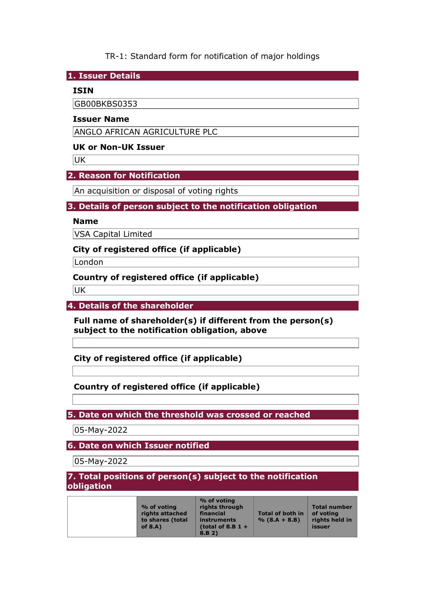# TR-1: Standard form for notification of major holdings

**1. Issuer Details** 

### **ISIN**

GB00BKBS0353

### **Issuer Name**

ANGLO AFRICAN AGRICULTURE PLC

## **UK or Non-UK Issuer**

UK

### **2. Reason for Notification**

An acquisition or disposal of voting rights

### **3. Details of person subject to the notification obligation**

#### **Name**

VSA Capital Limited

### **City of registered office (if applicable)**

London

## **Country of registered office (if applicable)**

UK

## **4. Details of the shareholder**

**Full name of shareholder(s) if different from the person(s) subject to the notification obligation, above** 

**City of registered office (if applicable)** 

## **Country of registered office (if applicable)**

## **5. Date on which the threshold was crossed or reached**

05-May-2022

**6. Date on which Issuer notified** 

05-May-2022

#### **7. Total positions of person(s) subject to the notification obligation**

| % of voting<br>rights attached<br>to shares (total<br>of $8.A$ ) | % of voting<br>rights through<br>financial<br><b>instruments</b><br>(total of 8.B $1 +$<br>8.B 2) | <b>Total of both in</b><br>$% (8.A + 8.B)$ | Total number<br>of voting<br>rights held in<br>issuer |
|------------------------------------------------------------------|---------------------------------------------------------------------------------------------------|--------------------------------------------|-------------------------------------------------------|
|------------------------------------------------------------------|---------------------------------------------------------------------------------------------------|--------------------------------------------|-------------------------------------------------------|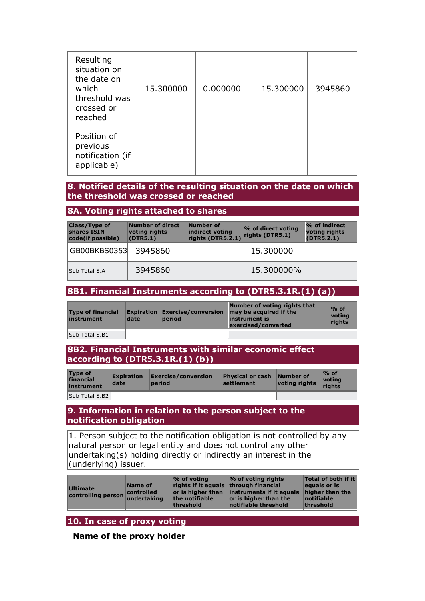| Resulting<br>situation on<br>the date on<br>which<br>threshold was<br>crossed or<br>reached | 15.300000 | 0.000000 | 15.300000 | 3945860 |
|---------------------------------------------------------------------------------------------|-----------|----------|-----------|---------|
| Position of<br>previous<br>notification (if<br>applicable)                                  |           |          |           |         |

### **8. Notified details of the resulting situation on the date on which the threshold was crossed or reached**

#### **8A. Voting rights attached to shares**

| <b>Class/Type of</b><br>shares ISIN<br>code(if possible) | Number of direct<br>voting rights<br>(DTR5.1) | Number of<br>indirect voting<br>rights (DTR5.2.1) | % of direct voting<br>rights (DTR5.1) | $\%$ of indirect<br>voting rights<br>(DTR5.2.1) |
|----------------------------------------------------------|-----------------------------------------------|---------------------------------------------------|---------------------------------------|-------------------------------------------------|
| GB00BKBS0353                                             | 3945860                                       |                                                   | 15,300000                             |                                                 |
| Sub Total 8.A                                            | 3945860                                       |                                                   | 15,300000%                            |                                                 |

#### **8B1. Financial Instruments according to (DTR5.3.1R.(1) (a))**

| <b>Type of financial</b><br>instrument | date | <b>period</b> | Number of voting rights that<br><b>Expiration</b> Exercise/conversion $\vert$ may be acquired if the<br>instrument is<br>exercised/converted | $\%$ of<br>votina<br>rights |
|----------------------------------------|------|---------------|----------------------------------------------------------------------------------------------------------------------------------------------|-----------------------------|
| Sub Total 8.B1                         |      |               |                                                                                                                                              |                             |

#### **8B2. Financial Instruments with similar economic effect according to (DTR5.3.1R.(1) (b))**

| <b>Type of</b><br>financial<br>instrument | <b>Expiration</b><br>date | $\mathsf{Exercise}/\mathsf{conversion}$<br><b>period</b> | <b>Physical or cash</b><br>settlement | Number of<br>voting rights | $\%$ of<br>voting<br>riahts |
|-------------------------------------------|---------------------------|----------------------------------------------------------|---------------------------------------|----------------------------|-----------------------------|
| Sub Total 8.B2                            |                           |                                                          |                                       |                            |                             |

#### **9. Information in relation to the person subject to the notification obligation**

1. Person subject to the notification obligation is not controlled by any natural person or legal entity and does not control any other undertaking(s) holding directly or indirectly an interest in the (underlying) issuer.

| <b>Ultimate</b><br>controlling person undertaking | Name of<br>controlled | $\%$ of voting<br>rights if it equals through financial<br>the notifiable<br>threshold | % of voting rights<br>or is higher than instruments if it equals<br>or is higher than the<br>notifiable threshold | <b>Total of both if it</b><br>equals or is<br>higher than the<br>notifiable<br>threshold |
|---------------------------------------------------|-----------------------|----------------------------------------------------------------------------------------|-------------------------------------------------------------------------------------------------------------------|------------------------------------------------------------------------------------------|
|                                                   |                       |                                                                                        |                                                                                                                   |                                                                                          |

# **10. In case of proxy voting**

**Name of the proxy holder**